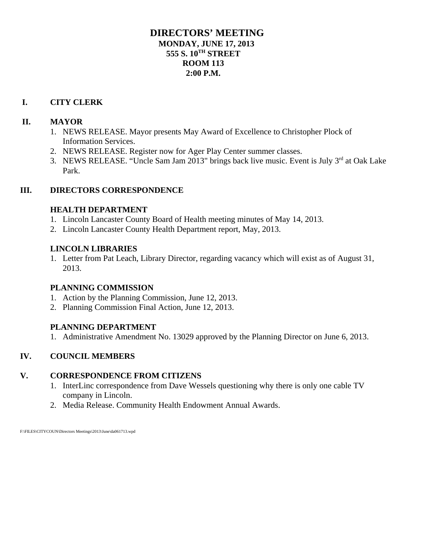# **DIRECTORS' MEETING MONDAY, JUNE 17, 2013 555 S. 10TH STREET ROOM 113 2:00 P.M.**

# **I. CITY CLERK**

# **II. MAYOR**

- 1. NEWS RELEASE. Mayor presents May Award of Excellence to Christopher Plock of Information Services.
- 2. NEWS RELEASE. Register now for Ager Play Center summer classes.
- 3. NEWS RELEASE. "Uncle Sam Jam 2013" brings back live music. Event is July 3<sup>rd</sup> at Oak Lake Park.

# **III. DIRECTORS CORRESPONDENCE**

# **HEALTH DEPARTMENT**

- 1. Lincoln Lancaster County Board of Health meeting minutes of May 14, 2013.
- 2. Lincoln Lancaster County Health Department report, May, 2013.

# **LINCOLN LIBRARIES**

1. Letter from Pat Leach, Library Director, regarding vacancy which will exist as of August 31, 2013.

# **PLANNING COMMISSION**

- 1. Action by the Planning Commission, June 12, 2013.
- 2. Planning Commission Final Action, June 12, 2013.

# **PLANNING DEPARTMENT**

1. Administrative Amendment No. 13029 approved by the Planning Director on June 6, 2013.

# **IV. COUNCIL MEMBERS**

# **V. CORRESPONDENCE FROM CITIZENS**

- 1. InterLinc correspondence from Dave Wessels questioning why there is only one cable TV company in Lincoln.
- 2. Media Release. Community Health Endowment Annual Awards.

F:\FILES\CITYCOUN\Directors Meetings\2013\June\da061713.wpd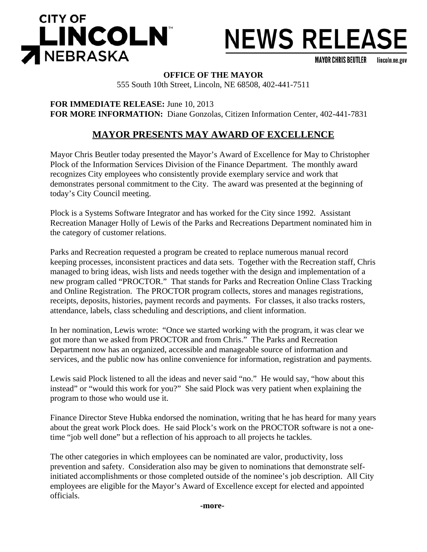

# **NEWS RELEASE**

**MAYOR CHRIS BEUTLER** lincoln.ne.gov

**OFFICE OF THE MAYOR**

555 South 10th Street, Lincoln, NE 68508, 402-441-7511

**FOR IMMEDIATE RELEASE:** June 10, 2013 **FOR MORE INFORMATION:** Diane Gonzolas, Citizen Information Center, 402-441-7831

# **MAYOR PRESENTS MAY AWARD OF EXCELLENCE**

Mayor Chris Beutler today presented the Mayor's Award of Excellence for May to Christopher Plock of the Information Services Division of the Finance Department. The monthly award recognizes City employees who consistently provide exemplary service and work that demonstrates personal commitment to the City. The award was presented at the beginning of today's City Council meeting.

Plock is a Systems Software Integrator and has worked for the City since 1992. Assistant Recreation Manager Holly of Lewis of the Parks and Recreations Department nominated him in the category of customer relations.

Parks and Recreation requested a program be created to replace numerous manual record keeping processes, inconsistent practices and data sets. Together with the Recreation staff, Chris managed to bring ideas, wish lists and needs together with the design and implementation of a new program called "PROCTOR." That stands for Parks and Recreation Online Class Tracking and Online Registration. The PROCTOR program collects, stores and manages registrations, receipts, deposits, histories, payment records and payments. For classes, it also tracks rosters, attendance, labels, class scheduling and descriptions, and client information.

In her nomination, Lewis wrote: "Once we started working with the program, it was clear we got more than we asked from PROCTOR and from Chris." The Parks and Recreation Department now has an organized, accessible and manageable source of information and services, and the public now has online convenience for information, registration and payments.

Lewis said Plock listened to all the ideas and never said "no." He would say, "how about this instead" or "would this work for you?" She said Plock was very patient when explaining the program to those who would use it.

Finance Director Steve Hubka endorsed the nomination, writing that he has heard for many years about the great work Plock does. He said Plock's work on the PROCTOR software is not a onetime "job well done" but a reflection of his approach to all projects he tackles.

The other categories in which employees can be nominated are valor, productivity, loss prevention and safety. Consideration also may be given to nominations that demonstrate selfinitiated accomplishments or those completed outside of the nominee's job description. All City employees are eligible for the Mayor's Award of Excellence except for elected and appointed officials.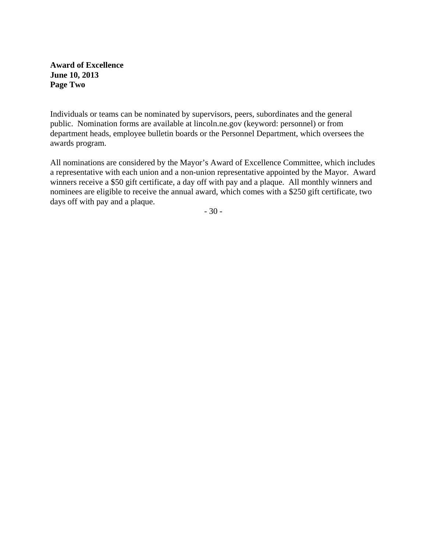## **Award of Excellence June 10, 2013 Page Two**

Individuals or teams can be nominated by supervisors, peers, subordinates and the general public. Nomination forms are available at lincoln.ne.gov (keyword: personnel) or from department heads, employee bulletin boards or the Personnel Department, which oversees the awards program.

All nominations are considered by the Mayor's Award of Excellence Committee, which includes a representative with each union and a non-union representative appointed by the Mayor. Award winners receive a \$50 gift certificate, a day off with pay and a plaque. All monthly winners and nominees are eligible to receive the annual award, which comes with a \$250 gift certificate, two days off with pay and a plaque.

- 30 -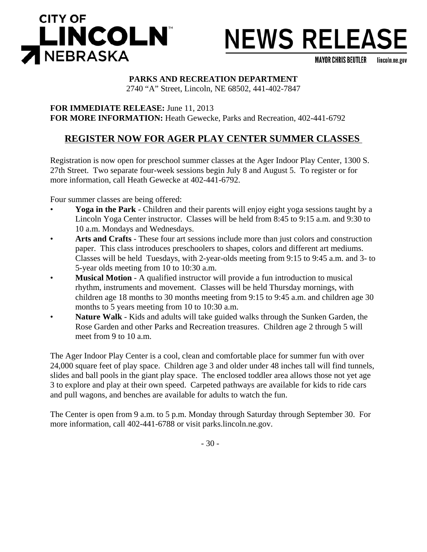

# **NEWS RELEASE**

**MAYOR CHRIS BEUTLER** lincoln.ne.gov

# **PARKS AND RECREATION DEPARTMENT**

2740 "A" Street, Lincoln, NE 68502, 441-402-7847

**FOR IMMEDIATE RELEASE:** June 11, 2013 **FOR MORE INFORMATION:** Heath Gewecke, Parks and Recreation, 402-441-6792

# **REGISTER NOW FOR AGER PLAY CENTER SUMMER CLASSES**

Registration is now open for preschool summer classes at the Ager Indoor Play Center, 1300 S. 27th Street. Two separate four-week sessions begin July 8 and August 5. To register or for more information, call Heath Gewecke at 402-441-6792.

Four summer classes are being offered:

- **Yoga in the Park** Children and their parents will enjoy eight yoga sessions taught by a Lincoln Yoga Center instructor. Classes will be held from 8:45 to 9:15 a.m. and 9:30 to 10 a.m. Mondays and Wednesdays.
- **Arts and Crafts** These four art sessions include more than just colors and construction paper. This class introduces preschoolers to shapes, colors and different art mediums. Classes will be held Tuesdays, with 2-year-olds meeting from 9:15 to 9:45 a.m. and 3- to 5-year olds meeting from 10 to 10:30 a.m.
- **Musical Motion** A qualified instructor will provide a fun introduction to musical rhythm, instruments and movement. Classes will be held Thursday mornings, with children age 18 months to 30 months meeting from 9:15 to 9:45 a.m. and children age 30 months to 5 years meeting from 10 to 10:30 a.m.
- Nature Walk Kids and adults will take guided walks through the Sunken Garden, the Rose Garden and other Parks and Recreation treasures. Children age 2 through 5 will meet from 9 to 10 a.m.

The Ager Indoor Play Center is a cool, clean and comfortable place for summer fun with over 24,000 square feet of play space. Children age 3 and older under 48 inches tall will find tunnels, slides and ball pools in the giant play space. The enclosed toddler area allows those not yet age 3 to explore and play at their own speed. Carpeted pathways are available for kids to ride cars and pull wagons, and benches are available for adults to watch the fun.

The Center is open from 9 a.m. to 5 p.m. Monday through Saturday through September 30. For more information, call 402-441-6788 or visit parks.lincoln.ne.gov.

- 30 -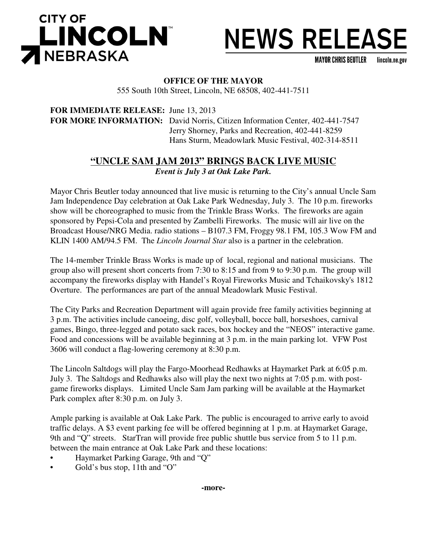



**MAYOR CHRIS BEUTLER** lincoln.ne.gov

## **OFFICE OF THE MAYOR**

555 South 10th Street, Lincoln, NE 68508, 402-441-7511

**FOR IMMEDIATE RELEASE:** June 13, 2013 **FOR MORE INFORMATION:** David Norris, Citizen Information Center, 402-441-7547 Jerry Shorney, Parks and Recreation, 402-441-8259 Hans Sturm, Meadowlark Music Festival, 402-314-8511

# **"UNCLE SAM JAM 2013" BRINGS BACK LIVE MUSIC** *Event is July 3 at Oak Lake Park.*

Mayor Chris Beutler today announced that live music is returning to the City's annual Uncle Sam Jam Independence Day celebration at Oak Lake Park Wednesday, July 3. The 10 p.m. fireworks show will be choreographed to music from the Trinkle Brass Works. The fireworks are again sponsored by Pepsi-Cola and presented by Zambelli Fireworks. The music will air live on the Broadcast House/NRG Media. radio stations – B107.3 FM, Froggy 98.1 FM, 105.3 Wow FM and KLIN 1400 AM/94.5 FM. The *Lincoln Journal Star* also is a partner in the celebration.

The 14-member Trinkle Brass Works is made up of local, regional and national musicians. The group also will present short concerts from 7:30 to 8:15 and from 9 to 9:30 p.m. The group will accompany the fireworks display with Handel's Royal Fireworks Music and Tchaikovsky's 1812 Overture. The performances are part of the annual Meadowlark Music Festival.

The City Parks and Recreation Department will again provide free family activities beginning at 3 p.m. The activities include canoeing, disc golf, volleyball, bocce ball, horseshoes, carnival games, Bingo, three-legged and potato sack races, box hockey and the "NEOS" interactive game. Food and concessions will be available beginning at 3 p.m. in the main parking lot. VFW Post 3606 will conduct a flag-lowering ceremony at 8:30 p.m.

The Lincoln Saltdogs will play the Fargo-Moorhead Redhawks at Haymarket Park at 6:05 p.m. July 3. The Saltdogs and Redhawks also will play the next two nights at 7:05 p.m. with postgame fireworks displays. Limited Uncle Sam Jam parking will be available at the Haymarket Park complex after 8:30 p.m. on July 3.

Ample parking is available at Oak Lake Park. The public is encouraged to arrive early to avoid traffic delays. A \$3 event parking fee will be offered beginning at 1 p.m. at Haymarket Garage, 9th and "Q" streets. StarTran will provide free public shuttle bus service from 5 to 11 p.m. between the main entrance at Oak Lake Park and these locations:

- Haymarket Parking Garage, 9th and "Q"
- Gold's bus stop, 11th and "O"

**-more-**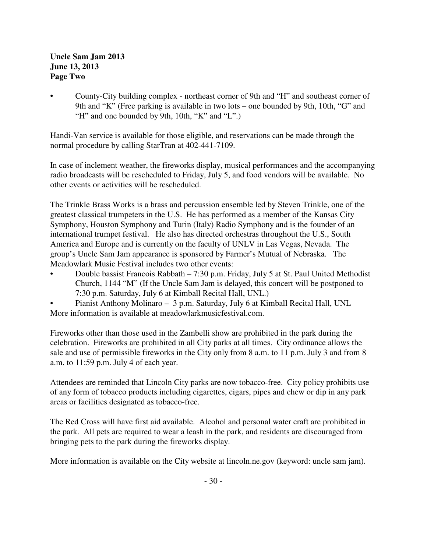# **Uncle Sam Jam 2013 June 13, 2013 Page Two**

• County-City building complex - northeast corner of 9th and "H" and southeast corner of 9th and "K" (Free parking is available in two lots – one bounded by 9th, 10th, "G" and "H" and one bounded by 9th, 10th, "K" and "L".)

Handi-Van service is available for those eligible, and reservations can be made through the normal procedure by calling StarTran at 402-441-7109.

In case of inclement weather, the fireworks display, musical performances and the accompanying radio broadcasts will be rescheduled to Friday, July 5, and food vendors will be available. No other events or activities will be rescheduled.

The Trinkle Brass Works is a brass and percussion ensemble led by Steven Trinkle, one of the greatest classical trumpeters in the U.S. He has performed as a member of the Kansas City Symphony, Houston Symphony and Turin (Italy) Radio Symphony and is the founder of an international trumpet festival. He also has directed orchestras throughout the U.S., South America and Europe and is currently on the faculty of UNLV in Las Vegas, Nevada. The group's Uncle Sam Jam appearance is sponsored by Farmer's Mutual of Nebraska. The Meadowlark Music Festival includes two other events:

- Double bassist Francois Rabbath 7:30 p.m. Friday, July 5 at St. Paul United Methodist Church, 1144 "M" (If the Uncle Sam Jam is delayed, this concert will be postponed to 7:30 p.m. Saturday, July 6 at Kimball Recital Hall, UNL.)
- Pianist Anthony Molinaro 3 p.m. Saturday, July 6 at Kimball Recital Hall, UNL More information is available at meadowlarkmusicfestival.com.

Fireworks other than those used in the Zambelli show are prohibited in the park during the celebration. Fireworks are prohibited in all City parks at all times. City ordinance allows the sale and use of permissible fireworks in the City only from 8 a.m. to 11 p.m. July 3 and from 8 a.m. to 11:59 p.m. July 4 of each year.

Attendees are reminded that Lincoln City parks are now tobacco-free. City policy prohibits use of any form of tobacco products including cigarettes, cigars, pipes and chew or dip in any park areas or facilities designated as tobacco-free.

The Red Cross will have first aid available. Alcohol and personal water craft are prohibited in the park. All pets are required to wear a leash in the park, and residents are discouraged from bringing pets to the park during the fireworks display.

More information is available on the City website at lincoln.ne.gov (keyword: uncle sam jam).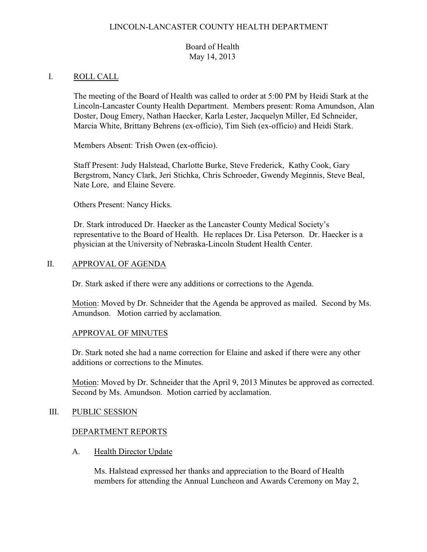## LINCOLN-LANCASTER COUNTY HEALTH DEPARTMENT

# Board of Health May 14, 2013

### I. ROLL CALL

The meeting of the Board of Health was called to order at 5:00 PM by Heidi Stark at the Lincoln-Lancaster County Health Department. Members present: Roma Amundson, Alan Doster, Doug Emery, Nathan Haecker, Karla Lester, Jacquelyn Miller, Ed Schneider, Marcia White, Brittany Behrens (ex-officio), Tim Sieh (ex-officio) and Heidi Stark.

Members Absent: Trish Owen (ex-officio).

Staff Present: Judy Halstead, Charlotte Burke, Steve Frederick, Kathy Cook, Gary Bergstrom, Nancy Clark, Jeri Stichka, Chris Schroeder, Gwendy Meginnis, Steve Beal, Nate Lore, and Elaine Severe.

Others Present: Nancy Hicks.

Dr. Stark introduced Dr. Haecker as the Lancaster County Medical Society's representative to the Board of Health. He replaces Dr. Lisa Peterson. Dr. Haecker is a physician at the University of Nebraska-Lincoln Student Health Center.

#### II. APPROVAL OF AGENDA

Dr. Stark asked if there were any additions or corrections to the Agenda.

Motion: Moved by Dr. Schneider that the Agenda be approved as mailed. Second by Ms. Amundson. Motion carried by acclamation.

#### APPROVAL OF MINUTES

Dr. Stark noted she had a name correction for Elaine and asked if there were any other additions or corrections to the Minutes.

Motion: Moved by Dr. Schneider that the April 9, 2013 Minutes be approved as corrected. Second by Ms. Amundson. Motion carried by acclamation.

#### III. PUBLIC SESSION

#### DEPARTMENT REPORTS

A. Health Director Update

Ms. Halstead expressed her thanks and appreciation to the Board of Health members for attending the Annual Luncheon and Awards Ceremony on May 2,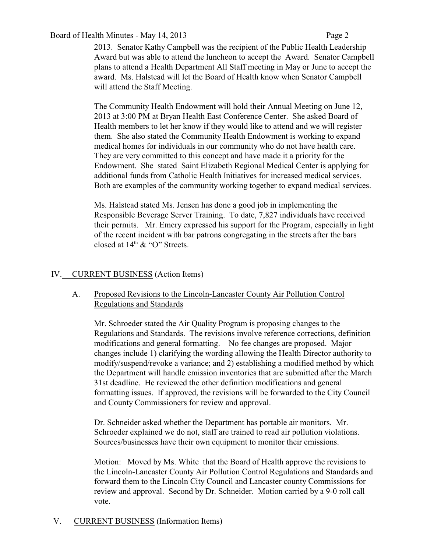## Board of Health Minutes - May 14, 2013 Page 2

2013. Senator Kathy Campbell was the recipient of the Public Health Leadership Award but was able to attend the luncheon to accept the Award. Senator Campbell plans to attend a Health Department All Staff meeting in May or June to accept the award. Ms. Halstead will let the Board of Health know when Senator Campbell will attend the Staff Meeting.

The Community Health Endowment will hold their Annual Meeting on June 12, 2013 at 3:00 PM at Bryan Health East Conference Center. She asked Board of Health members to let her know if they would like to attend and we will register them. She also stated the Community Health Endowment is working to expand medical homes for individuals in our community who do not have health care. They are very committed to this concept and have made it a priority for the Endowment. She stated Saint Elizabeth Regional Medical Center is applying for additional funds from Catholic Health Initiatives for increased medical services. Both are examples of the community working together to expand medical services.

Ms. Halstead stated Ms. Jensen has done a good job in implementing the Responsible Beverage Server Training. To date, 7,827 individuals have received their permits. Mr. Emery expressed his support for the Program, especially in light of the recent incident with bar patrons congregating in the streets after the bars closed at  $14<sup>th</sup>$  & "O" Streets.

# IV. CURRENT BUSINESS (Action Items)

# A. Proposed Revisions to the Lincoln-Lancaster County Air Pollution Control Regulations and Standards

Mr. Schroeder stated the Air Quality Program is proposing changes to the Regulations and Standards. The revisions involve reference corrections, definition modifications and general formatting. No fee changes are proposed. Major changes include 1) clarifying the wording allowing the Health Director authority to modify/suspend/revoke a variance; and 2) establishing a modified method by which the Department will handle emission inventories that are submitted after the March 31st deadline. He reviewed the other definition modifications and general formatting issues. If approved, the revisions will be forwarded to the City Council and County Commissioners for review and approval.

Dr. Schneider asked whether the Department has portable air monitors. Mr. Schroeder explained we do not, staff are trained to read air pollution violations. Sources/businesses have their own equipment to monitor their emissions.

Motion: Moved by Ms. White that the Board of Health approve the revisions to the Lincoln-Lancaster County Air Pollution Control Regulations and Standards and forward them to the Lincoln City Council and Lancaster county Commissions for review and approval. Second by Dr. Schneider. Motion carried by a 9-0 roll call vote.

V. CURRENT BUSINESS (Information Items)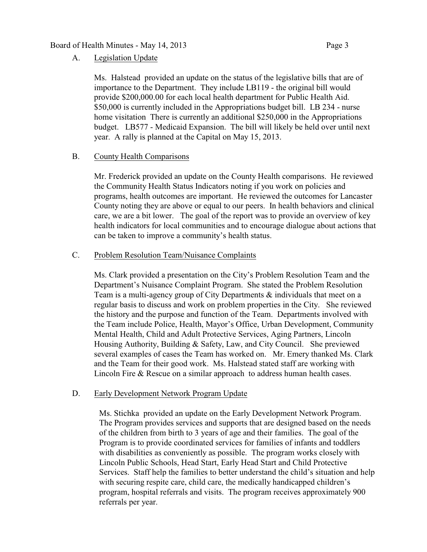#### Board of Health Minutes - May 14, 2013 Page 3

#### A. Legislation Update

Ms. Halstead provided an update on the status of the legislative bills that are of importance to the Department. They include LB119 - the original bill would provide \$200,000.00 for each local health department for Public Health Aid. \$50,000 is currently included in the Appropriations budget bill. LB 234 - nurse home visitation There is currently an additional \$250,000 in the Appropriations budget. LB577 - Medicaid Expansion. The bill will likely be held over until next year. A rally is planned at the Capital on May 15, 2013.

## B. County Health Comparisons

Mr. Frederick provided an update on the County Health comparisons. He reviewed the Community Health Status Indicators noting if you work on policies and programs, health outcomes are important. He reviewed the outcomes for Lancaster County noting they are above or equal to our peers. In health behaviors and clinical care, we are a bit lower. The goal of the report was to provide an overview of key health indicators for local communities and to encourage dialogue about actions that can be taken to improve a community's health status.

#### C. Problem Resolution Team/Nuisance Complaints

Ms. Clark provided a presentation on the City's Problem Resolution Team and the Department's Nuisance Complaint Program. She stated the Problem Resolution Team is a multi-agency group of City Departments & individuals that meet on a regular basis to discuss and work on problem properties in the City. She reviewed the history and the purpose and function of the Team. Departments involved with the Team include Police, Health, Mayor's Office, Urban Development, Community Mental Health, Child and Adult Protective Services, Aging Partners, Lincoln Housing Authority, Building & Safety, Law, and City Council. She previewed several examples of cases the Team has worked on. Mr. Emery thanked Ms. Clark and the Team for their good work. Ms. Halstead stated staff are working with Lincoln Fire & Rescue on a similar approach to address human health cases.

#### D. Early Development Network Program Update

Ms. Stichka provided an update on the Early Development Network Program. The Program provides services and supports that are designed based on the needs of the children from birth to 3 years of age and their families. The goal of the Program is to provide coordinated services for families of infants and toddlers with disabilities as conveniently as possible. The program works closely with Lincoln Public Schools, Head Start, Early Head Start and Child Protective Services. Staff help the families to better understand the child's situation and help with securing respite care, child care, the medically handicapped children's program, hospital referrals and visits. The program receives approximately 900 referrals per year.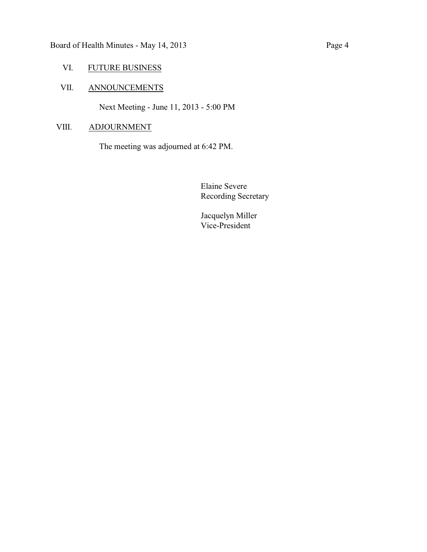# VI. FUTURE BUSINESS

# VII. ANNOUNCEMENTS

Next Meeting - June 11, 2013 - 5:00 PM

# VIII. ADJOURNMENT

The meeting was adjourned at 6:42 PM.

Elaine Severe Recording Secretary

Jacquelyn Miller Vice-President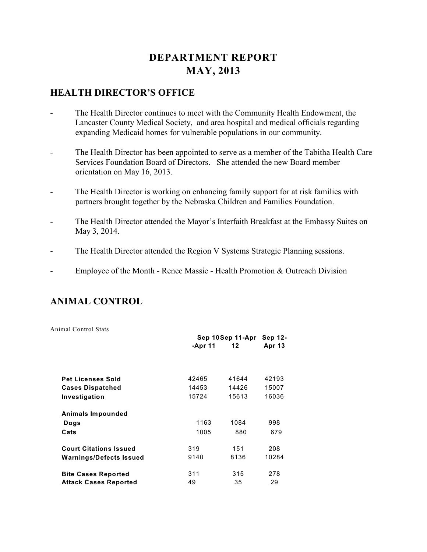# **DEPARTMENT REPORT MAY, 2013**

# **HEALTH DIRECTOR'S OFFICE**

- The Health Director continues to meet with the Community Health Endowment, the Lancaster County Medical Society, and area hospital and medical officials regarding expanding Medicaid homes for vulnerable populations in our community.
- The Health Director has been appointed to serve as a member of the Tabitha Health Care Services Foundation Board of Directors. She attended the new Board member orientation on May 16, 2013.
- The Health Director is working on enhancing family support for at risk families with partners brought together by the Nebraska Children and Families Foundation.
- The Health Director attended the Mayor's Interfaith Breakfast at the Embassy Suites on May 3, 2014.
- The Health Director attended the Region V Systems Strategic Planning sessions.
- Employee of the Month Renee Massie Health Promotion & Outreach Division

# **ANIMAL CONTROL**

Animal Control Stats

|                               | Sep 10Sep 11-Apr |       | Sep 12-       |  |
|-------------------------------|------------------|-------|---------------|--|
|                               | -Apr 11          | 12    | <b>Apr 13</b> |  |
|                               |                  |       |               |  |
| <b>Pet Licenses Sold</b>      | 42465            | 41644 | 42193         |  |
| <b>Cases Dispatched</b>       | 14453            | 14426 | 15007         |  |
| Investigation                 | 15724            | 15613 | 16036         |  |
| Animals Impounded             |                  |       |               |  |
| Dogs                          | 1163             | 1084  | 998           |  |
| Cats                          | 1005             | 880   | 679           |  |
| <b>Court Citations Issued</b> | 319              | 151   | 208           |  |
| Warnings/Defects Issued       | 9140             | 8136  | 10284         |  |
| <b>Bite Cases Reported</b>    | 311              | 315   | 278           |  |
| <b>Attack Cases Reported</b>  | 49               | 35    | 29            |  |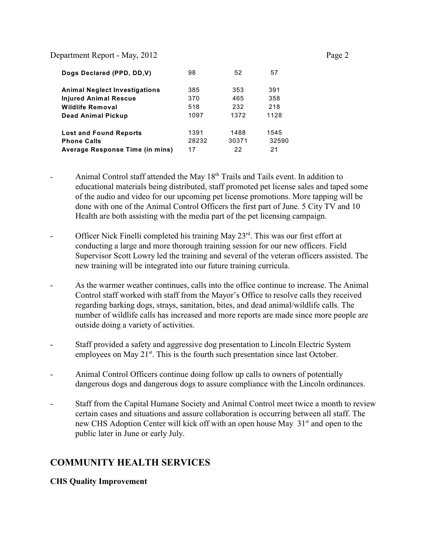| Dogs Declared (PPD, DD, V)             | 98    | 52    | 57    |
|----------------------------------------|-------|-------|-------|
| <b>Animal Neglect Investigations</b>   | 385   | 353   | 391   |
| <b>Injured Animal Rescue</b>           | 370   | 465   | 358   |
| <b>Wildlife Removal</b>                | 518   | 232   | 218   |
| Dead Animal Pickup                     | 1097  | 1372  | 1128  |
| <b>Lost and Found Reports</b>          | 1391  | 1488  | 1545  |
| <b>Phone Calls</b>                     | 28232 | 30371 | 32590 |
| <b>Average Response Time (in mins)</b> | 17    | 22    | 21    |

- Animal Control staff attended the May  $18<sup>th</sup>$  Trails and Tails event. In addition to educational materials being distributed, staff promoted pet license sales and taped some of the audio and video for our upcoming pet license promotions. More tapping will be done with one of the Animal Control Officers the first part of June. 5 City TV and 10 Health are both assisting with the media part of the pet licensing campaign.
- Officer Nick Finelli completed his training May  $23<sup>rd</sup>$ . This was our first effort at conducting a large and more thorough training session for our new officers. Field Supervisor Scott Lowry led the training and several of the veteran officers assisted. The new training will be integrated into our future training curricula.
- As the warmer weather continues, calls into the office continue to increase. The Animal Control staff worked with staff from the Mayor's Office to resolve calls they received regarding barking dogs, strays, sanitation, bites, and dead animal/wildlife calls. The number of wildlife calls has increased and more reports are made since more people are outside doing a variety of activities.
- Staff provided a safety and aggressive dog presentation to Lincoln Electric System employees on May  $21^{st}$ . This is the fourth such presentation since last October.
- Animal Control Officers continue doing follow up calls to owners of potentially dangerous dogs and dangerous dogs to assure compliance with the Lincoln ordinances.
- Staff from the Capital Humane Society and Animal Control meet twice a month to review certain cases and situations and assure collaboration is occurring between all staff. The new CHS Adoption Center will kick off with an open house May 31<sup>st</sup> and open to the public later in June or early July.

# **COMMUNITY HEALTH SERVICES**

#### **CHS Quality Improvement**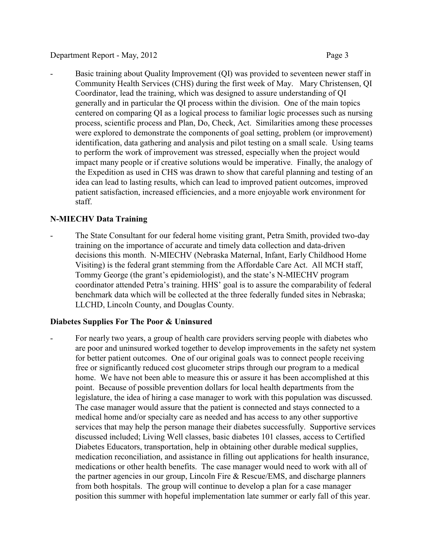Basic training about Quality Improvement (QI) was provided to seventeen newer staff in Community Health Services (CHS) during the first week of May. Mary Christensen, QI Coordinator, lead the training, which was designed to assure understanding of QI generally and in particular the QI process within the division. One of the main topics centered on comparing QI as a logical process to familiar logic processes such as nursing process, scientific process and Plan, Do, Check, Act. Similarities among these processes were explored to demonstrate the components of goal setting, problem (or improvement) identification, data gathering and analysis and pilot testing on a small scale. Using teams to perform the work of improvement was stressed, especially when the project would impact many people or if creative solutions would be imperative. Finally, the analogy of the Expedition as used in CHS was drawn to show that careful planning and testing of an idea can lead to lasting results, which can lead to improved patient outcomes, improved patient satisfaction, increased efficiencies, and a more enjoyable work environment for staff.

# **N-MIECHV Data Training**

The State Consultant for our federal home visiting grant, Petra Smith, provided two-day training on the importance of accurate and timely data collection and data-driven decisions this month. N-MIECHV (Nebraska Maternal, Infant, Early Childhood Home Visiting) is the federal grant stemming from the Affordable Care Act. All MCH staff, Tommy George (the grant's epidemiologist), and the state's N-MIECHV program coordinator attended Petra's training. HHS' goal is to assure the comparability of federal benchmark data which will be collected at the three federally funded sites in Nebraska; LLCHD, Lincoln County, and Douglas County.

# **Diabetes Supplies For The Poor & Uninsured**

For nearly two years, a group of health care providers serving people with diabetes who are poor and uninsured worked together to develop improvements in the safety net system for better patient outcomes. One of our original goals was to connect people receiving free or significantly reduced cost glucometer strips through our program to a medical home. We have not been able to measure this or assure it has been accomplished at this point. Because of possible prevention dollars for local health departments from the legislature, the idea of hiring a case manager to work with this population was discussed. The case manager would assure that the patient is connected and stays connected to a medical home and/or specialty care as needed and has access to any other supportive services that may help the person manage their diabetes successfully. Supportive services discussed included; Living Well classes, basic diabetes 101 classes, access to Certified Diabetes Educators, transportation, help in obtaining other durable medical supplies, medication reconciliation, and assistance in filling out applications for health insurance, medications or other health benefits. The case manager would need to work with all of the partner agencies in our group, Lincoln Fire & Rescue/EMS, and discharge planners from both hospitals. The group will continue to develop a plan for a case manager position this summer with hopeful implementation late summer or early fall of this year.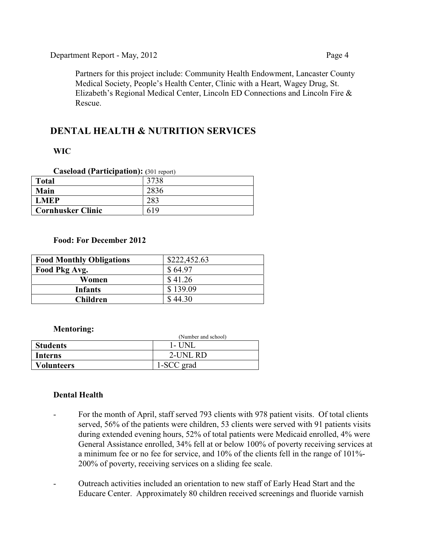Partners for this project include: Community Health Endowment, Lancaster County Medical Society, People's Health Center, Clinic with a Heart, Wagey Drug, St. Elizabeth's Regional Medical Center, Lincoln ED Connections and Lincoln Fire & Rescue.

# **DENTAL HEALTH & NUTRITION SERVICES**

# **WIC**

| <b>Caseload (Participation): (301 report)</b> |  |  |  |
|-----------------------------------------------|--|--|--|
|-----------------------------------------------|--|--|--|

| <b>Total</b>             | 3738 |
|--------------------------|------|
| Main                     |      |
| <b>LMEP</b>              |      |
| <b>Cornhusker Clinic</b> |      |

## **Food: For December 2012**

| <b>Food Monthly Obligations</b> | \$222,452.63 |
|---------------------------------|--------------|
| Food Pkg Avg.                   | \$64.97      |
| Women                           | \$41.26      |
| <b>Infants</b>                  | \$139.09     |
| <b>Children</b>                 | 44.30        |

#### **Mentoring:**

|                   | (Number and school) |
|-------------------|---------------------|
| <b>Students</b>   | 1- UNL              |
| Interns           | 2-UNL RD            |
| <b>Volunteers</b> | 1-SCC grad          |

# **Dental Health**

- For the month of April, staff served 793 clients with 978 patient visits. Of total clients served, 56% of the patients were children, 53 clients were served with 91 patients visits during extended evening hours, 52% of total patients were Medicaid enrolled, 4% were General Assistance enrolled, 34% fell at or below 100% of poverty receiving services at a minimum fee or no fee for service, and 10% of the clients fell in the range of 101%- 200% of poverty, receiving services on a sliding fee scale.
- Outreach activities included an orientation to new staff of Early Head Start and the Educare Center. Approximately 80 children received screenings and fluoride varnish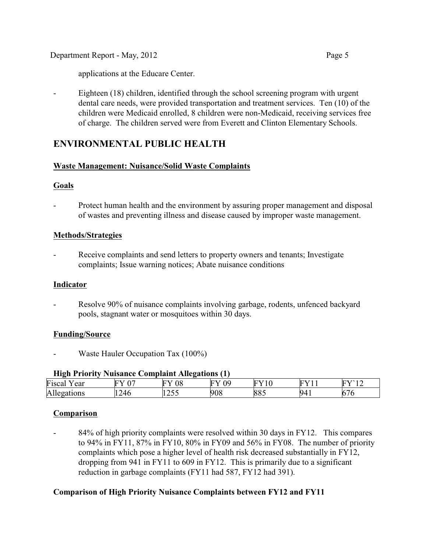applications at the Educare Center.

- Eighteen (18) children, identified through the school screening program with urgent dental care needs, were provided transportation and treatment services. Ten (10) of the children were Medicaid enrolled, 8 children were non-Medicaid, receiving services free of charge. The children served were from Everett and Clinton Elementary Schools.

# **ENVIRONMENTAL PUBLIC HEALTH**

## **Waste Management: Nuisance/Solid Waste Complaints**

## **Goals**

- Protect human health and the environment by assuring proper management and disposal of wastes and preventing illness and disease caused by improper waste management.

## **Methods/Strategies**

Receive complaints and send letters to property owners and tenants; Investigate complaints; Issue warning notices; Abate nuisance conditions

#### **Indicator**

Resolve 90% of nuisance complaints involving garbage, rodents, unfenced backyard pools, stagnant water or mosquitoes within 30 days.

#### **Funding/Source**

Waste Hauler Occupation Tax (100%)

#### **High Priority Nuisance Complaint Allegations (1)**

| .                                        | ___<br>___        |                            | .       |                                  |                          |                                 |
|------------------------------------------|-------------------|----------------------------|---------|----------------------------------|--------------------------|---------------------------------|
| $ -$<br>Ţ.<br>F <sub>1</sub> sca.<br>ear | $EV$ 07<br>-      | $\Omega$<br>⊢<br>Uδ        | ΛC<br>∽ | $\mathbf{F}^{\star}$<br><b>.</b> | <b>TIME</b><br>∼         | T3.4.6<br>TT.<br>$\overline{ }$ |
| -11<br>zations<br>л<br>. .<br>11 L       | $\Delta f$<br>∠¬∿ | $\cdot$ $ -$<br>. <i>.</i> | 908     | nn,<br>к.<br>$\sim$<br>00.       | $\sim$<br>94<br>ш<br>. . | $\sim$<br>ື<br>ື                |

# **Comparison**

84% of high priority complaints were resolved within 30 days in FY12. This compares to 94% in FY11, 87% in FY10, 80% in FY09 and 56% in FY08. The number of priority complaints which pose a higher level of health risk decreased substantially in FY12, dropping from 941 in FY11 to 609 in FY12. This is primarily due to a significant reduction in garbage complaints (FY11 had 587, FY12 had 391).

# **Comparison of High Priority Nuisance Complaints between FY12 and FY11**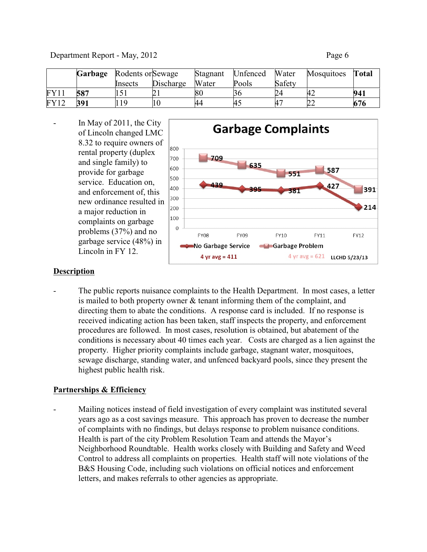|      | Garbage | Rodents or Sewage |           | Stagnant | Unfenced | Water  | Mosquitoes | Total |
|------|---------|-------------------|-----------|----------|----------|--------|------------|-------|
|      |         | <b>Insects</b>    | Discharge | Water    | Pools    | Safety |            |       |
| FY11 | 587     | 1 J 1             |           | 80       |          |        |            | 941   |
| FY12 | 391     | 1 Q               |           | 44       | 45       |        | ∠∠         | 676   |

In May of 2011, the City of Lincoln changed LMC 8.32 to require owners of rental property (duplex and single family) to provide for garbage service. Education on, and enforcement of, this new ordinance resulted in a major reduction in complaints on garbage problems (37%) and no garbage service (48%) in Lincoln in FY 12.



#### **Description**

The public reports nuisance complaints to the Health Department. In most cases, a letter is mailed to both property owner & tenant informing them of the complaint, and directing them to abate the conditions. A response card is included. If no response is received indicating action has been taken, staff inspects the property, and enforcement procedures are followed. In most cases, resolution is obtained, but abatement of the conditions is necessary about 40 times each year. Costs are charged as a lien against the property. Higher priority complaints include garbage, stagnant water, mosquitoes, sewage discharge, standing water, and unfenced backyard pools, since they present the highest public health risk.

#### **Partnerships & Efficiency**

Mailing notices instead of field investigation of every complaint was instituted several years ago as a cost savings measure. This approach has proven to decrease the number of complaints with no findings, but delays response to problem nuisance conditions. Health is part of the city Problem Resolution Team and attends the Mayor's Neighborhood Roundtable. Health works closely with Building and Safety and Weed Control to address all complaints on properties. Health staff will note violations of the B&S Housing Code, including such violations on official notices and enforcement letters, and makes referrals to other agencies as appropriate.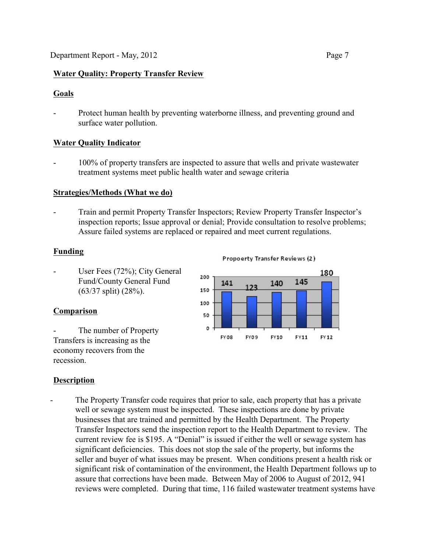# **Water Quality: Property Transfer Review**

# **Goals**

Protect human health by preventing waterborne illness, and preventing ground and surface water pollution.

# **Water Quality Indicator**

- 100% of property transfers are inspected to assure that wells and private wastewater treatment systems meet public health water and sewage criteria

# **Strategies/Methods (What we do)**

- Train and permit Property Transfer Inspectors; Review Property Transfer Inspector's inspection reports; Issue approval or denial; Provide consultation to resolve problems; Assure failed systems are replaced or repaired and meet current regulations.

# **Funding**

User Fees (72%); City General Fund/County General Fund (63/37 split) (28%).

# **Comparison**

The number of Property Transfers is increasing as the economy recovers from the recession.

#### **Propoerty Transfer Reviews (2)**



# **Description**

The Property Transfer code requires that prior to sale, each property that has a private well or sewage system must be inspected. These inspections are done by private businesses that are trained and permitted by the Health Department. The Property Transfer Inspectors send the inspection report to the Health Department to review. The current review fee is \$195. A "Denial" is issued if either the well or sewage system has significant deficiencies. This does not stop the sale of the property, but informs the seller and buyer of what issues may be present. When conditions present a health risk or significant risk of contamination of the environment, the Health Department follows up to assure that corrections have been made. Between May of 2006 to August of 2012, 941 reviews were completed. During that time, 116 failed wastewater treatment systems have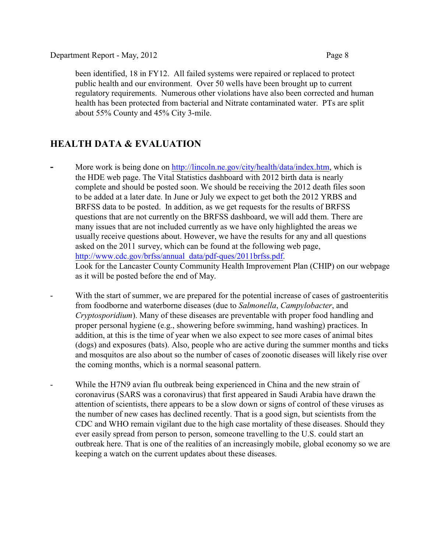been identified, 18 in FY12. All failed systems were repaired or replaced to protect public health and our environment. Over 50 wells have been brought up to current regulatory requirements. Numerous other violations have also been corrected and human health has been protected from bacterial and Nitrate contaminated water. PTs are split about 55% County and 45% City 3-mile.

# **HEALTH DATA & EVALUATION**

- **-** More work is being done on<http://lincoln.ne.gov/city/health/data/index.htm>, which is the HDE web page. The Vital Statistics dashboard with 2012 birth data is nearly complete and should be posted soon. We should be receiving the 2012 death files soon to be added at a later date. In June or July we expect to get both the 2012 YRBS and BRFSS data to be posted. In addition, as we get requests for the results of BRFSS questions that are not currently on the BRFSS dashboard, we will add them. There are many issues that are not included currently as we have only highlighted the areas we usually receive questions about. However, we have the results for any and all questions asked on the 2011 survey, which can be found at the following web page, [http://www.cdc.gov/brfss/annual\\_data/pdf-ques/2011brfss.pdf](http://www.cdc.gov/brfss/annual_data/pdf-ques/2011brfss.pdf). Look for the Lancaster County Community Health Improvement Plan (CHIP) on our webpage as it will be posted before the end of May.
- With the start of summer, we are prepared for the potential increase of cases of gastroenteritis from foodborne and waterborne diseases (due to *Salmonella*, *Campylobacter*, and *Cryptosporidium*). Many of these diseases are preventable with proper food handling and proper personal hygiene (e.g., showering before swimming, hand washing) practices. In addition, at this is the time of year when we also expect to see more cases of animal bites (dogs) and exposures (bats). Also, people who are active during the summer months and ticks and mosquitos are also about so the number of cases of zoonotic diseases will likely rise over the coming months, which is a normal seasonal pattern.
- While the H7N9 avian flu outbreak being experienced in China and the new strain of coronavirus (SARS was a coronavirus) that first appeared in Saudi Arabia have drawn the attention of scientists, there appears to be a slow down or signs of control of these viruses as the number of new cases has declined recently. That is a good sign, but scientists from the CDC and WHO remain vigilant due to the high case mortality of these diseases. Should they ever easily spread from person to person, someone travelling to the U.S. could start an outbreak here. That is one of the realities of an increasingly mobile, global economy so we are keeping a watch on the current updates about these diseases.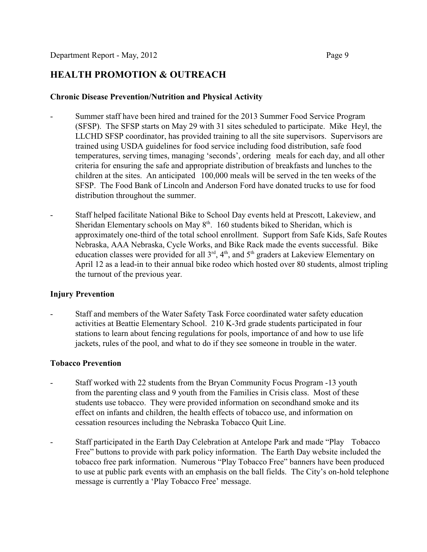# **HEALTH PROMOTION & OUTREACH**

#### **Chronic Disease Prevention/Nutrition and Physical Activity**

- Summer staff have been hired and trained for the 2013 Summer Food Service Program (SFSP). The SFSP starts on May 29 with 31 sites scheduled to participate. Mike Heyl, the LLCHD SFSP coordinator, has provided training to all the site supervisors. Supervisors are trained using USDA guidelines for food service including food distribution, safe food temperatures, serving times, managing 'seconds', ordering meals for each day, and all other criteria for ensuring the safe and appropriate distribution of breakfasts and lunches to the children at the sites. An anticipated 100,000 meals will be served in the ten weeks of the SFSP. The Food Bank of Lincoln and Anderson Ford have donated trucks to use for food distribution throughout the summer.
- Staff helped facilitate National Bike to School Day events held at Prescott, Lakeview, and Sheridan Elementary schools on May  $8<sup>th</sup>$ . 160 students biked to Sheridan, which is approximately one-third of the total school enrollment. Support from Safe Kids, Safe Routes Nebraska, AAA Nebraska, Cycle Works, and Bike Rack made the events successful. Bike education classes were provided for all  $3<sup>rd</sup>$ ,  $4<sup>th</sup>$ , and  $5<sup>th</sup>$  graders at Lakeview Elementary on April 12 as a lead-in to their annual bike rodeo which hosted over 80 students, almost tripling the turnout of the previous year.

#### **Injury Prevention**

- Staff and members of the Water Safety Task Force coordinated water safety education activities at Beattie Elementary School. 210 K-3rd grade students participated in four stations to learn about fencing regulations for pools, importance of and how to use life jackets, rules of the pool, and what to do if they see someone in trouble in the water.

#### **Tobacco Prevention**

- Staff worked with 22 students from the Bryan Community Focus Program -13 youth from the parenting class and 9 youth from the Families in Crisis class. Most of these students use tobacco. They were provided information on secondhand smoke and its effect on infants and children, the health effects of tobacco use, and information on cessation resources including the Nebraska Tobacco Quit Line.
- Staff participated in the Earth Day Celebration at Antelope Park and made "Play Tobacco Free" buttons to provide with park policy information. The Earth Day website included the tobacco free park information. Numerous "Play Tobacco Free" banners have been produced to use at public park events with an emphasis on the ball fields. The City's on-hold telephone message is currently a 'Play Tobacco Free' message.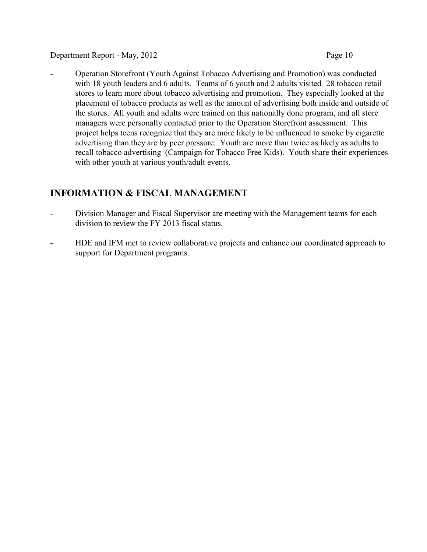- Operation Storefront (Youth Against Tobacco Advertising and Promotion) was conducted with 18 youth leaders and 6 adults. Teams of 6 youth and 2 adults visited 28 tobacco retail stores to learn more about tobacco advertising and promotion. They especially looked at the placement of tobacco products as well as the amount of advertising both inside and outside of the stores. All youth and adults were trained on this nationally done program, and all store managers were personally contacted prior to the Operation Storefront assessment. This project helps teens recognize that they are more likely to be influenced to smoke by cigarette advertising than they are by peer pressure. Youth are more than twice as likely as adults to recall tobacco advertising (Campaign for Tobacco Free Kids). Youth share their experiences with other youth at various youth/adult events.

# **INFORMATION & FISCAL MANAGEMENT**

- Division Manager and Fiscal Supervisor are meeting with the Management teams for each division to review the FY 2013 fiscal status.
- HDE and IFM met to review collaborative projects and enhance our coordinated approach to support for Department programs.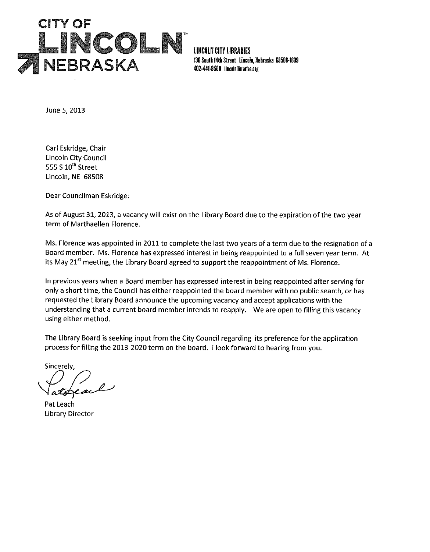

**LINCOLN CITY LIBRARIES** 136 South 14th Street Lincoln, Nebraska 68508-1899 402-441-8500 lincolniibraries.org

June 5, 2013

Carl Eskridge, Chair **Lincoln City Council** 555 S 10<sup>th</sup> Street Lincoln, NE 68508

Dear Councilman Eskridge:

As of August 31, 2013, a vacancy will exist on the Library Board due to the expiration of the two year term of Marthaellen Florence.

Ms. Florence was appointed in 2011 to complete the last two years of a term due to the resignation of a Board member. Ms. Florence has expressed interest in being reappointed to a full seven year term. At its May 21<sup>st</sup> meeting, the Library Board agreed to support the reappointment of Ms. Florence.

In previous years when a Board member has expressed interest in being reappointed after serving for only a short time, the Council has either reappointed the board member with no public search, or has requested the Library Board announce the upcoming vacancy and accept applications with the understanding that a current board member intends to reapply. We are open to filling this vacancy using either method.

The Library Board is seeking input from the City Council regarding its preference for the application process for filling the 2013-2020 term on the board. I look forward to hearing from you.

Sincerely.

Pat Leach **Library Director**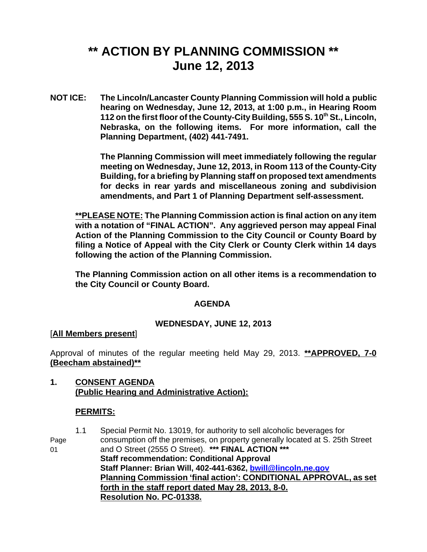# **\*\* ACTION BY PLANNING COMMISSION \*\* June 12, 2013**

**NOT ICE: The Lincoln/Lancaster County Planning Commission will hold a public hearing on Wednesday, June 12, 2013, at 1:00 p.m., in Hearing Room 112 on the first floor of the County-City Building, 555 S. 10<sup>th</sup> St., Lincoln, Nebraska, on the following items. For more information, call the Planning Department, (402) 441-7491.**

> **The Planning Commission will meet immediately following the regular meeting on Wednesday, June 12, 2013, in Room 113 of the County-City Building, for a briefing by Planning staff on proposed text amendments for decks in rear yards and miscellaneous zoning and subdivision amendments, and Part 1 of Planning Department self-assessment.**

**\*\*PLEASE NOTE: The Planning Commission action is final action on any item with a notation of "FINAL ACTION". Any aggrieved person may appeal Final Action of the Planning Commission to the City Council or County Board by filing a Notice of Appeal with the City Clerk or County Clerk within 14 days following the action of the Planning Commission.** 

**The Planning Commission action on all other items is a recommendation to the City Council or County Board.** 

# **AGENDA**

# **WEDNESDAY, JUNE 12, 2013**

#### [**All Members present**]

Approval of minutes of the regular meeting held May 29, 2013. **\*\*APPROVED, 7-0 (Beecham abstained)\*\***

## **1. CONSENT AGENDA (Public Hearing and Administrative Action):**

# **PERMITS:**

1.1 Special Permit No. 13019, for authority to sell alcoholic beverages for Page consumption off the premises, on property generally located at S. 25th Street 01 and O Street (2555 O Street). **\*\*\* FINAL ACTION \*\*\* Staff recommendation: Conditional Approval Staff Planner: Brian Will, 402-441-6362, bwill@lincoln.ne.gov Planning Commission 'final action': CONDITIONAL APPROVAL, as set forth in the staff report dated May 28, 2013, 8-0. Resolution No. PC-01338.**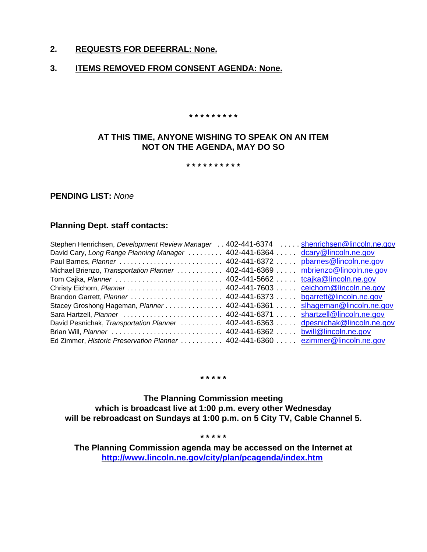### **2. REQUESTS FOR DEFERRAL: None.**

#### **3. ITEMS REMOVED FROM CONSENT AGENDA: None.**

 **\* \* \* \* \* \* \* \* \*** 

## **AT THIS TIME, ANYONE WISHING TO SPEAK ON AN ITEM NOT ON THE AGENDA, MAY DO SO**

#### **\* \* \* \* \* \* \* \* \* \***

#### **PENDING LIST:** *None*

#### **Planning Dept. staff contacts:**

| Stephen Henrichsen, Development Review Manager                               |                    | 402-441-6374 shenrichsen@lincoln.ne.gov |
|------------------------------------------------------------------------------|--------------------|-----------------------------------------|
| David Cary, Long Range Planning Manager                                      | $402 - 441 - 6364$ | dcary@lincoln.ne.gov                    |
|                                                                              |                    | pbarnes@lincoln.ne.gov                  |
| Michael Brienzo, Transportation Planner  402-441-6369                        |                    | mbrienzo@lincoln.ne.gov                 |
| Tom Cajka, Planner  402-441-5662                                             |                    | tcajka@lincoln.ne.gov                   |
|                                                                              |                    | ceichorn@lincoln.ne.gov                 |
| Brandon Garrett, Planner  402-441-6373                                       |                    | bgarrett@lincoln.ne.gov                 |
| Stacey Groshong Hageman, Planner  402-441-6361                               |                    | slhageman@lincoln.ne.gov                |
|                                                                              |                    | shartzell@lincoln.ne.gov                |
| David Pesnichak, Transportation Planner  402-441-6363                        |                    | dpesnichak@lincoln.ne.gov               |
|                                                                              |                    |                                         |
| Ed Zimmer, Historic Preservation Planner 402-441-6360 ezimmer@lincoln.ne.gov |                    |                                         |

**\* \* \* \* \***

**The Planning Commission meeting which is broadcast live at 1:00 p.m. every other Wednesday will be rebroadcast on Sundays at 1:00 p.m. on 5 City TV, Cable Channel 5.**

**\* \* \* \* \***

**The Planning Commission agenda may be accessed on the Internet at http://www.lincoln.ne.gov/city/plan/pcagenda/index.htm**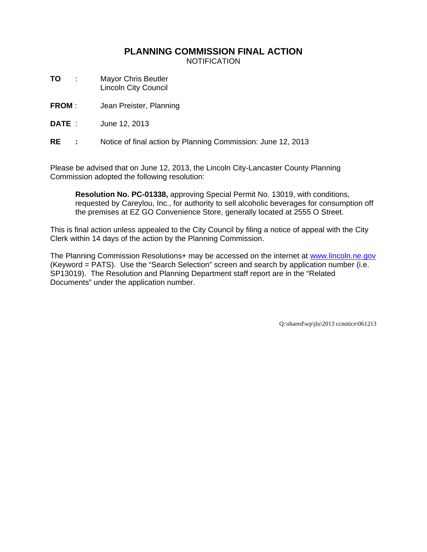# **PLANNING COMMISSION FINAL ACTION**

NOTIFICATION

- **TO** : Mayor Chris Beutler Lincoln City Council
- **FROM** : Jean Preister, Planning
- **DATE** : June 12, 2013

**RE :** Notice of final action by Planning Commission: June 12, 2013

Please be advised that on June 12, 2013, the Lincoln City-Lancaster County Planning Commission adopted the following resolution:

**Resolution No. PC-01338,** approving Special Permit No. 13019, with conditions, requested by Careylou, Inc., for authority to sell alcoholic beverages for consumption off the premises at EZ GO Convenience Store, generally located at 2555 O Street.

This is final action unless appealed to the City Council by filing a notice of appeal with the City Clerk within 14 days of the action by the Planning Commission.

The Planning Commission Resolutions+ may be accessed on the internet at www.lincoln.ne.gov (Keyword = PATS). Use the "Search Selection" screen and search by application number (i.e. SP13019). The Resolution and Planning Department staff report are in the "Related Documents" under the application number.

Q:\shared\wp\jlu\2013 ccnotice\061213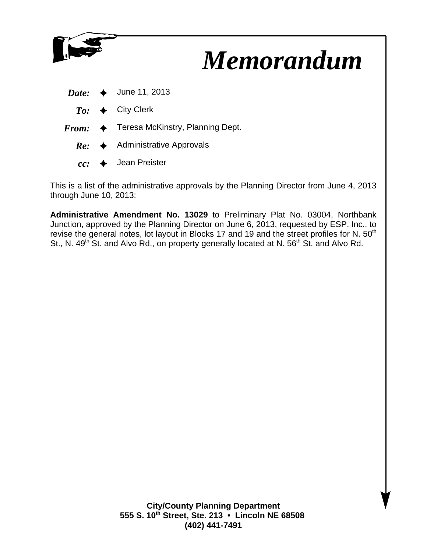

# *Memorandum*

| Date: | June 11, 2013 |  |
|-------|---------------|--|
|-------|---------------|--|

- $To: \leftrightarrow$  City Clerk
- *From:* ♦ Teresa McKinstry, Planning Dept.
	- $Re: \rightarrow$  Administrative Approvals
	- $cc:$   $\rightarrow$  Jean Preister

This is a list of the administrative approvals by the Planning Director from June 4, 2013 through June 10, 2013:

**Administrative Amendment No. 13029** to Preliminary Plat No. 03004, Northbank Junction, approved by the Planning Director on June 6, 2013, requested by ESP, Inc., to revise the general notes, lot layout in Blocks 17 and 19 and the street profiles for N. 50<sup>th</sup> St., N. 49<sup>th</sup> St. and Alvo Rd., on property generally located at N. 56<sup>th</sup> St. and Alvo Rd.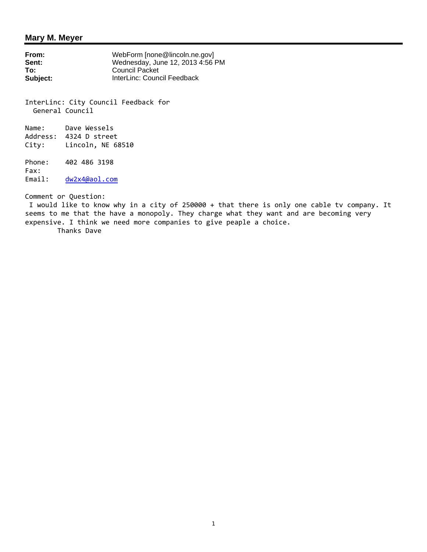#### **Mary M. Meyer**

**From:** WebForm [none@lincoln.ne.gov]<br> **Sent:** Wednesday, June 12, 2013 4:56 F Sent:<br> **Sent:**<br>
To: Council Packet<br>
Council Packet **To:** Council Packet<br> **Subject:** InterLinc: Counc **Subject:** InterLinc: Council Feedback

InterLinc: City Council Feedback for General Council

Name: Dave Wessels Address: 4324 D street City: Lincoln, NE 68510

Phone: 402 486 3198 Fax: Email: dw2x4@aol.com

Comment or Question:

 I would like to know why in a city of 250000 + that there is only one cable tv company. It seems to me that the have a monopoly. They charge what they want and are becoming very expensive. I think we need more companies to give peaple a choice.

Thanks Dave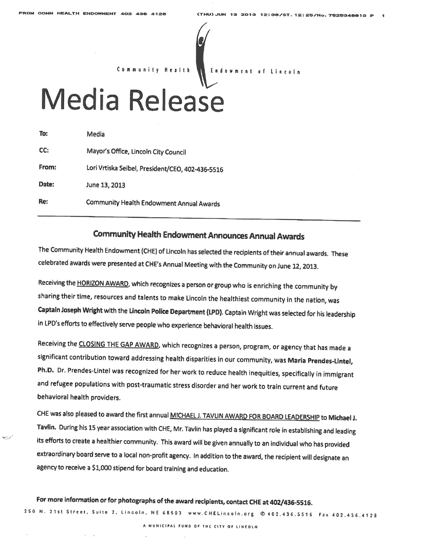$\sim$ 



# Media Release

| To:   | Media                                            |
|-------|--------------------------------------------------|
| CC:   | Mayor's Office, Lincoln City Council             |
| From: | Lori Vrtiska Seibel, President/CEO, 402-436-5516 |
| Date: | June 13, 2013                                    |
| Re:   | Community Health Endowment Annual Awards         |

# **Community Health Endowment Announces Annual Awards**

The Community Health Endowment (CHE) of Lincoln has selected the recipients of their annual awards. These celebrated awards were presented at CHE's Annual Meeting with the Community on June 12, 2013.

Receiving the HORIZON AWARD, which recognizes a person or group who is enriching the community by sharing their time, resources and talents to make Lincoln the healthiest community in the nation, was Captain Joseph Wright with the Lincoln Police Department (LPD). Captain Wright was selected for his leadership in LPD's efforts to effectively serve people who experience behavioral health issues.

Receiving the CLOSING THE GAP AWARD, which recognizes a person, program, or agency that has made a significant contribution toward addressing health disparities in our community, was Maria Prendes-Lintel, Ph.D. Dr. Prendes-Lintel was recognized for her work to reduce health inequities, specifically in immigrant and refugee populations with post-traumatic stress disorder and her work to train current and future behavioral health providers.

CHE was also pleased to award the first annual MICHAEL J. TAVLIN AWARD FOR BOARD LEADERSHIP to Michael J. Tavlin. During his 15 year association with CHE, Mr. Tavlin has played a significant role in establishing and leading its efforts to create a healthier community. This award will be given annually to an individual who has provided extraordinary board serve to a local non-profit agency. In addition to the award, the recipient will designate an agency to receive a \$1,000 stipend for board training and education.

# For more information or for photographs of the award recipients, contact CHE at 402/436-5516.

250 N. 21st Street, Suite 2, Lincoln, NE 68503 www.CHELincoln.org @ 402.436.5516 Fax 402.436.4128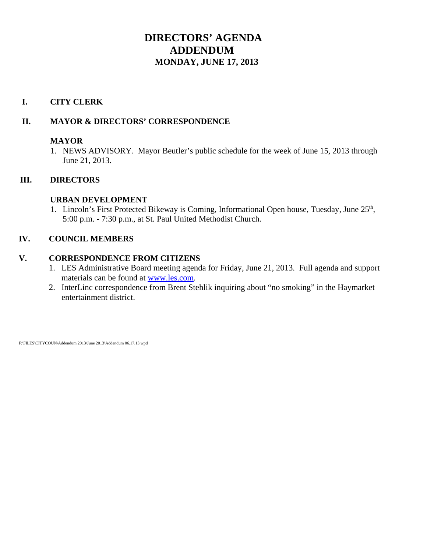# **DIRECTORS' AGENDA ADDENDUM MONDAY, JUNE 17, 2013**

# **I. CITY CLERK**

# **II. MAYOR & DIRECTORS' CORRESPONDENCE**

# **MAYOR**

1. NEWS ADVISORY. Mayor Beutler's public schedule for the week of June 15, 2013 through June 21, 2013.

# **III. DIRECTORS**

# **URBAN DEVELOPMENT**

1. Lincoln's First Protected Bikeway is Coming, Informational Open house, Tuesday, June 25<sup>th</sup>, 5:00 p.m. - 7:30 p.m., at St. Paul United Methodist Church.

# **IV. COUNCIL MEMBERS**

# **V. CORRESPONDENCE FROM CITIZENS**

- 1. LES Administrative Board meeting agenda for Friday, June 21, 2013. Full agenda and support materials can be found at www.les.com.
- 2. InterLinc correspondence from Brent Stehlik inquiring about "no smoking" in the Haymarket entertainment district.

F:\FILES\CITYCOUN\Addendum 2013\June 2013\Addendum 06.17.13.wpd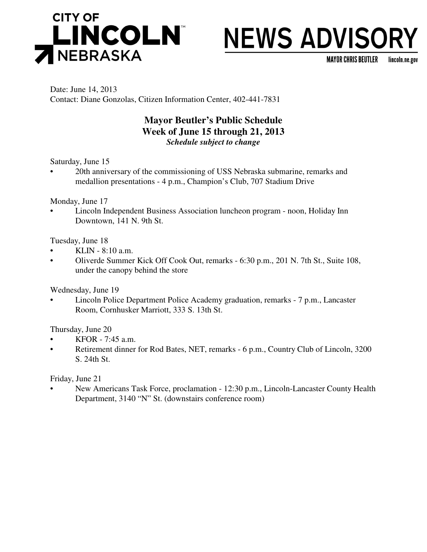

# **NEWS ADVISORY**

MAYOR CHRIS BEUTLER lincoln.ne.gov

Date: June 14, 2013 Contact: Diane Gonzolas, Citizen Information Center, 402-441-7831

# **Mayor Beutler's Public Schedule Week of June 15 through 21, 2013** *Schedule subject to change*

Saturday, June 15

• 20th anniversary of the commissioning of USS Nebraska submarine, remarks and medallion presentations - 4 p.m., Champion's Club, 707 Stadium Drive

Monday, June 17

• Lincoln Independent Business Association luncheon program - noon, Holiday Inn Downtown, 141 N. 9th St.

Tuesday, June 18

- KLIN 8:10 a.m.
- Oliverde Summer Kick Off Cook Out, remarks 6:30 p.m., 201 N. 7th St., Suite 108, under the canopy behind the store

Wednesday, June 19

• Lincoln Police Department Police Academy graduation, remarks - 7 p.m., Lancaster Room, Cornhusker Marriott, 333 S. 13th St.

Thursday, June 20

- KFOR 7:45 a.m.
- Retirement dinner for Rod Bates, NET, remarks 6 p.m., Country Club of Lincoln, 3200 S. 24th St.

Friday, June 21

• New Americans Task Force, proclamation - 12:30 p.m., Lincoln-Lancaster County Health Department, 3140 "N" St. (downstairs conference room)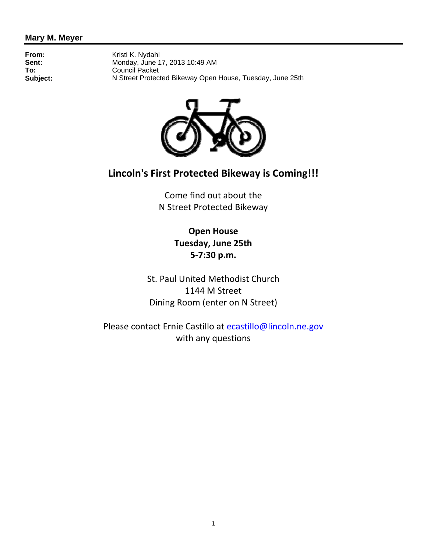# **Mary M. Meyer**

**From:** Kristi K. Nydahl<br> **Sent:** Mondav. June 1 Sent:<br> **Sent:**<br>
Council Packet<br>
Council Packet **To:** Council Packet<br> **Subject:** N Street Protect **Subject:** N Street Protected Bikeway Open House, Tuesday, June 25th



# **Lincoln's First Protected Bikeway is Coming!!!**

Come find out about the N Street Protected Bikeway

> **Open House Tuesday, June 25th 5-7:30 p.m.**

St. Paul United Methodist Church 1144 M Street Dining Room (enter on N Street)

Please contact Ernie Castillo at ecastillo@lincoln.ne.gov with any questions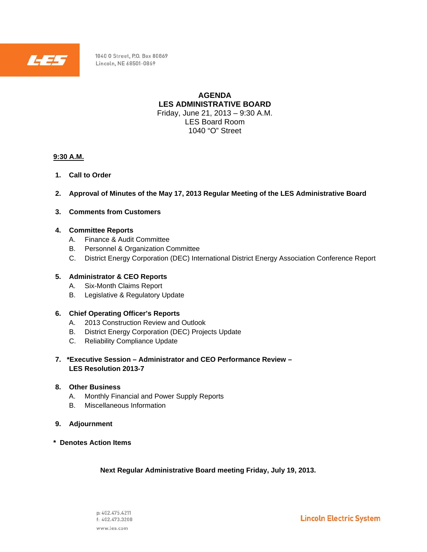

1040 O Street, P.O. Box 80869 Lincoln, NE 68501-0869

> **AGENDA LES ADMINISTRATIVE BOARD**  Friday, June 21, 2013 – 9:30 A.M. LES Board Room 1040 "O" Street

#### **9:30 A.M.**

- **1. Call to Order**
- **2. Approval of Minutes of the May 17, 2013 Regular Meeting of the LES Administrative Board**
- **3. Comments from Customers**

#### **4. Committee Reports**

- A. Finance & Audit Committee
- B. Personnel & Organization Committee
- C. District Energy Corporation (DEC) International District Energy Association Conference Report

#### **5. Administrator & CEO Reports**

- A. Six-Month Claims Report
- B. Legislative & Regulatory Update

#### **6. Chief Operating Officer's Reports**

- A. 2013 Construction Review and Outlook
- B. District Energy Corporation (DEC) Projects Update
- C. Reliability Compliance Update
- **7. \*Executive Session Administrator and CEO Performance Review LES Resolution 2013-7**

#### **8. Other Business**

- A. Monthly Financial and Power Supply Reports
- B. Miscellaneous Information
- **9. Adjournment**
- **\* Denotes Action Items**

 **Next Regular Administrative Board meeting Friday, July 19, 2013.**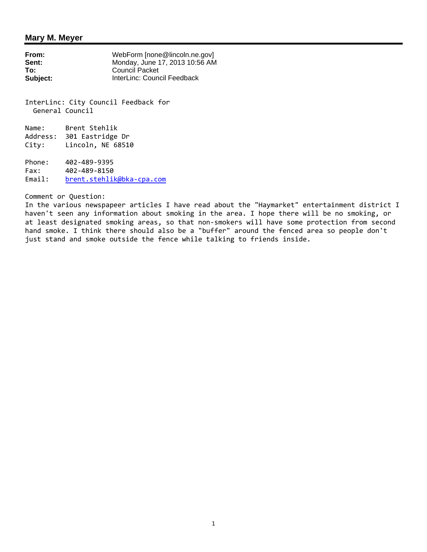#### **Mary M. Meyer**

| From:    | WebForm [none@lincoln.ne.gov]  |
|----------|--------------------------------|
| Sent:    | Monday, June 17, 2013 10:56 AM |
| To:      | Council Packet                 |
| Subject: | InterLinc: Council Feedback    |

InterLinc: City Council Feedback for General Council

Name: Brent Stehlik Address: 301 Eastridge Dr City: Lincoln, NE 68510

Phone: 402-489-9395 Fax: 402-489-8150 Email: brent.stehlik@bka-cpa.com

Comment or Question:

In the various newspapeer articles I have read about the "Haymarket" entertainment district I haven't seen any information about smoking in the area. I hope there will be no smoking, or at least designated smoking areas, so that non-smokers will have some protection from second hand smoke. I think there should also be a "buffer" around the fenced area so people don't just stand and smoke outside the fence while talking to friends inside.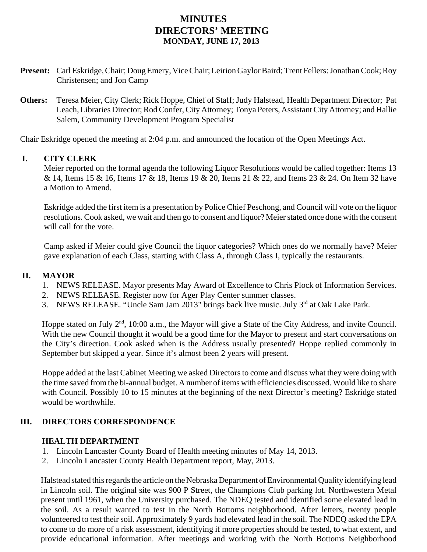# **MINUTES DIRECTORS' MEETING MONDAY, JUNE 17, 2013**

- **Present:** Carl Eskridge, Chair; Doug Emery, Vice Chair; Leirion Gaylor Baird; Trent Fellers: Jonathan Cook; Roy Christensen; and Jon Camp
- **Others:** Teresa Meier, City Clerk; Rick Hoppe, Chief of Staff; Judy Halstead, Health Department Director; Pat Leach, Libraries Director; Rod Confer, City Attorney; Tonya Peters, Assistant City Attorney; and Hallie Salem, Community Development Program Specialist

Chair Eskridge opened the meeting at 2:04 p.m. and announced the location of the Open Meetings Act.

# **I. CITY CLERK**

Meier reported on the formal agenda the following Liquor Resolutions would be called together: Items 13 & 14, Items 15 & 16, Items 17 & 18, Items 19 & 20, Items 21 & 22, and Items 23 & 24. On Item 32 have a Motion to Amend.

Eskridge added the first item is a presentation by Police Chief Peschong, and Council will vote on the liquor resolutions. Cook asked, we wait and then go to consent and liquor? Meier stated once done with the consent will call for the vote.

Camp asked if Meier could give Council the liquor categories? Which ones do we normally have? Meier gave explanation of each Class, starting with Class A, through Class I, typically the restaurants.

# **II. MAYOR**

- 1. NEWS RELEASE. Mayor presents May Award of Excellence to Chris Plock of Information Services.
- 2. NEWS RELEASE. Register now for Ager Play Center summer classes.
- 3. NEWS RELEASE. "Uncle Sam Jam 2013" brings back live music. July  $3<sup>rd</sup>$  at Oak Lake Park.

Hoppe stated on July  $2<sup>nd</sup>$ , 10:00 a.m., the Mayor will give a State of the City Address, and invite Council. With the new Council thought it would be a good time for the Mayor to present and start conversations on the City's direction. Cook asked when is the Address usually presented? Hoppe replied commonly in September but skipped a year. Since it's almost been 2 years will present.

Hoppe added at the last Cabinet Meeting we asked Directors to come and discuss what they were doing with the time saved from the bi-annual budget. A number of items with efficiencies discussed. Would like to share with Council. Possibly 10 to 15 minutes at the beginning of the next Director's meeting? Eskridge stated would be worthwhile.

# **III. DIRECTORS CORRESPONDENCE**

# **HEALTH DEPARTMENT**

- 1. Lincoln Lancaster County Board of Health meeting minutes of May 14, 2013.
- 2. Lincoln Lancaster County Health Department report, May, 2013.

Halstead stated this regards the article on the Nebraska Department of Environmental Quality identifying lead in Lincoln soil. The original site was 900 P Street, the Champions Club parking lot. Northwestern Metal present until 1961, when the University purchased. The NDEQ tested and identified some elevated lead in the soil. As a result wanted to test in the North Bottoms neighborhood. After letters, twenty people volunteered to test their soil. Approximately 9 yards had elevated lead in the soil. The NDEQ asked the EPA to come to do more of a risk assessment, identifying if more properties should be tested, to what extent, and provide educational information. After meetings and working with the North Bottoms Neighborhood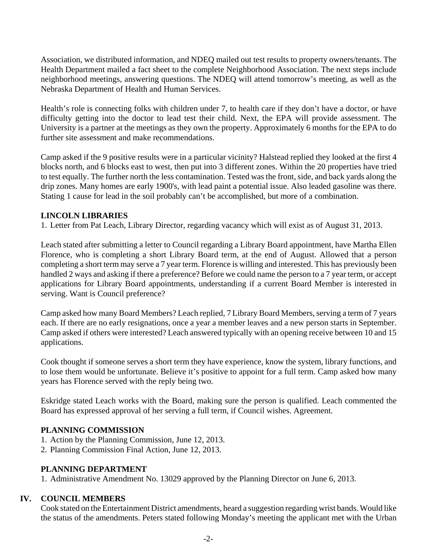Association, we distributed information, and NDEQ mailed out test results to property owners/tenants. The Health Department mailed a fact sheet to the complete Neighborhood Association. The next steps include neighborhood meetings, answering questions. The NDEQ will attend tomorrow's meeting, as well as the Nebraska Department of Health and Human Services.

Health's role is connecting folks with children under 7, to health care if they don't have a doctor, or have difficulty getting into the doctor to lead test their child. Next, the EPA will provide assessment. The University is a partner at the meetings as they own the property. Approximately 6 months for the EPA to do further site assessment and make recommendations.

Camp asked if the 9 positive results were in a particular vicinity? Halstead replied they looked at the first 4 blocks north, and 6 blocks east to west, then put into 3 different zones. Within the 20 properties have tried to test equally. The further north the less contamination. Tested was the front, side, and back yards along the drip zones. Many homes are early 1900's, with lead paint a potential issue. Also leaded gasoline was there. Stating 1 cause for lead in the soil probably can't be accomplished, but more of a combination.

# **LINCOLN LIBRARIES**

1. Letter from Pat Leach, Library Director, regarding vacancy which will exist as of August 31, 2013.

Leach stated after submitting a letter to Council regarding a Library Board appointment, have Martha Ellen Florence, who is completing a short Library Board term, at the end of August. Allowed that a person completing a short term may serve a 7 year term. Florence is willing and interested. This has previously been handled 2 ways and asking if there a preference? Before we could name the person to a 7 year term, or accept applications for Library Board appointments, understanding if a current Board Member is interested in serving. Want is Council preference?

Camp asked how many Board Members? Leach replied, 7 Library Board Members, serving a term of 7 years each. If there are no early resignations, once a year a member leaves and a new person starts in September. Camp asked if others were interested? Leach answered typically with an opening receive between 10 and 15 applications.

Cook thought if someone serves a short term they have experience, know the system, library functions, and to lose them would be unfortunate. Believe it's positive to appoint for a full term. Camp asked how many years has Florence served with the reply being two.

Eskridge stated Leach works with the Board, making sure the person is qualified. Leach commented the Board has expressed approval of her serving a full term, if Council wishes. Agreement.

# **PLANNING COMMISSION**

- 1. Action by the Planning Commission, June 12, 2013.
- 2. Planning Commission Final Action, June 12, 2013.

# **PLANNING DEPARTMENT**

1. Administrative Amendment No. 13029 approved by the Planning Director on June 6, 2013.

#### **IV. COUNCIL MEMBERS**

Cook stated on the Entertainment District amendments, heard a suggestion regarding wrist bands. Would like the status of the amendments. Peters stated following Monday's meeting the applicant met with the Urban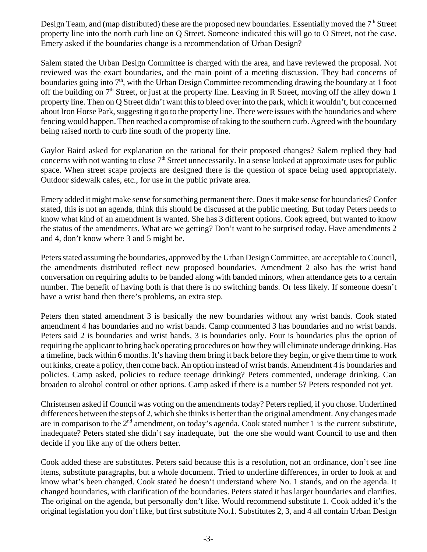Design Team, and (map distributed) these are the proposed new boundaries. Essentially moved the  $7<sup>th</sup>$  Street property line into the north curb line on Q Street. Someone indicated this will go to O Street, not the case. Emery asked if the boundaries change is a recommendation of Urban Design?

Salem stated the Urban Design Committee is charged with the area, and have reviewed the proposal. Not reviewed was the exact boundaries, and the main point of a meeting discussion. They had concerns of boundaries going into  $7<sup>th</sup>$ , with the Urban Design Committee recommending drawing the boundary at 1 foot off the building on  $7<sup>th</sup>$  Street, or just at the property line. Leaving in R Street, moving off the alley down 1 property line. Then on Q Street didn't want this to bleed over into the park, which it wouldn't, but concerned about Iron Horse Park, suggesting it go to the property line. There were issues with the boundaries and where fencing would happen. Then reached a compromise of taking to the southern curb. Agreed with the boundary being raised north to curb line south of the property line.

Gaylor Baird asked for explanation on the rational for their proposed changes? Salem replied they had concerns with not wanting to close  $7<sup>th</sup>$  Street unnecessarily. In a sense looked at approximate uses for public space. When street scape projects are designed there is the question of space being used appropriately. Outdoor sidewalk cafes, etc., for use in the public private area.

Emery added it might make sense for something permanent there. Does it make sense for boundaries? Confer stated, this is not an agenda, think this should be discussed at the public meeting. But today Peters needs to know what kind of an amendment is wanted. She has 3 different options. Cook agreed, but wanted to know the status of the amendments. What are we getting? Don't want to be surprised today. Have amendments 2 and 4, don't know where 3 and 5 might be.

Peters stated assuming the boundaries, approved by the Urban Design Committee, are acceptable to Council, the amendments distributed reflect new proposed boundaries. Amendment 2 also has the wrist band conversation on requiring adults to be banded along with banded minors, when attendance gets to a certain number. The benefit of having both is that there is no switching bands. Or less likely. If someone doesn't have a wrist band then there's problems, an extra step.

Peters then stated amendment 3 is basically the new boundaries without any wrist bands. Cook stated amendment 4 has boundaries and no wrist bands. Camp commented 3 has boundaries and no wrist bands. Peters said 2 is boundaries and wrist bands, 3 is boundaries only. Four is boundaries plus the option of requiring the applicant to bring back operating procedures on how they will eliminate underage drinking. Has a timeline, back within 6 months. It's having them bring it back before they begin, or give them time to work out kinks, create a policy, then come back. An option instead of wrist bands. Amendment 4 is boundaries and policies. Camp asked, policies to reduce teenage drinking? Peters commented, underage drinking. Can broaden to alcohol control or other options. Camp asked if there is a number 5? Peters responded not yet.

Christensen asked if Council was voting on the amendments today? Peters replied, if you chose. Underlined differences between the steps of 2, which she thinks is better than the original amendment. Any changes made are in comparison to the  $2<sup>nd</sup>$  amendment, on today's agenda. Cook stated number 1 is the current substitute, inadequate? Peters stated she didn't say inadequate, but the one she would want Council to use and then decide if you like any of the others better.

Cook added these are substitutes. Peters said because this is a resolution, not an ordinance, don't see line items, substitute paragraphs, but a whole document. Tried to underline differences, in order to look at and know what's been changed. Cook stated he doesn't understand where No. 1 stands, and on the agenda. It changed boundaries, with clarification of the boundaries. Peters stated it has larger boundaries and clarifies. The original on the agenda, but personally don't like. Would recommend substitute 1. Cook added it's the original legislation you don't like, but first substitute No.1. Substitutes 2, 3, and 4 all contain Urban Design